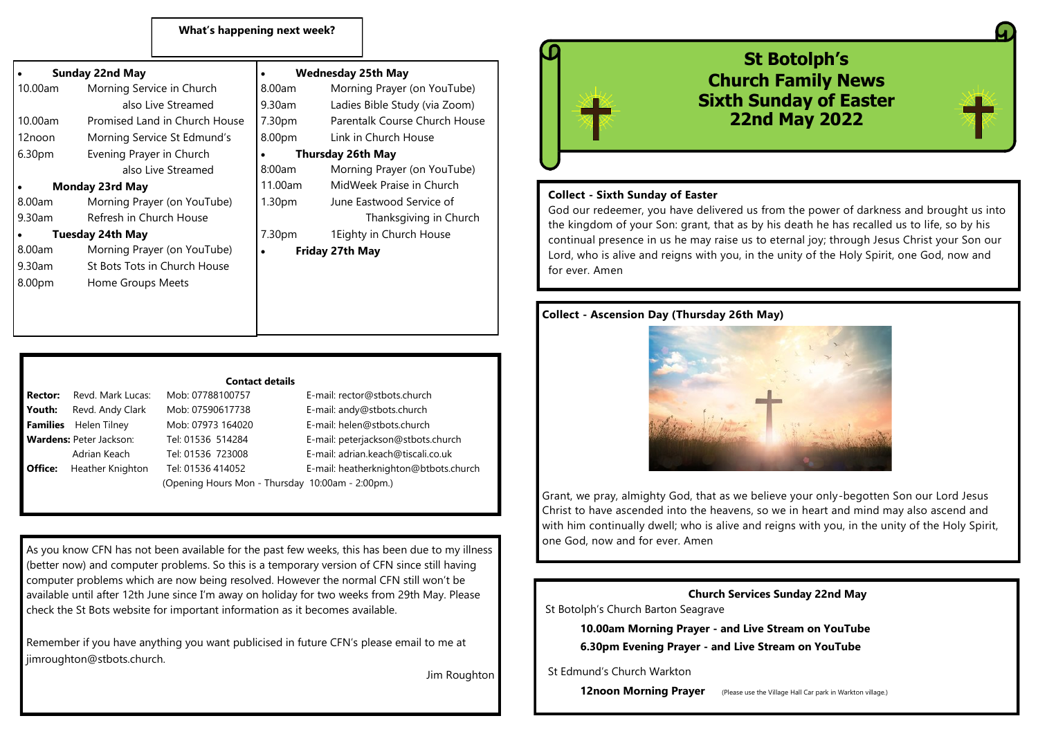### **What's happening next week?**

| <b>Sunday 22nd May</b>        |                          | <b>Wednesday 25th May</b>     |  |
|-------------------------------|--------------------------|-------------------------------|--|
| Morning Service in Church     | $8.00$ am                | Morning Prayer (on YouTube)   |  |
| also Live Streamed            | 9.30am                   | Ladies Bible Study (via Zoom) |  |
| Promised Land in Church House | 7.30pm                   | Parentalk Course Church House |  |
| Morning Service St Edmund's   | 8.00pm                   | Link in Church House          |  |
| Evening Prayer in Church      | <b>Thursday 26th May</b> |                               |  |
| also Live Streamed            | 8:00am                   | Morning Prayer (on YouTube)   |  |
| Monday 23rd May               |                          | MidWeek Praise in Church      |  |
| Morning Prayer (on YouTube)   | 1.30 <sub>pm</sub>       | June Eastwood Service of      |  |
| Refresh in Church House       |                          | Thanksgiving in Church        |  |
| Tuesday 24th May              |                          | 1 Eighty in Church House      |  |
| Morning Prayer (on YouTube)   | ٠                        | Friday 27th May               |  |
| St Bots Tots in Church House  |                          |                               |  |
| Home Groups Meets             |                          |                               |  |
|                               |                          |                               |  |
|                               |                          |                               |  |
|                               |                          | 11.00am<br>7.30pm             |  |



| <b>Rector:</b>                 | Revd. Mark Lucas: |  |
|--------------------------------|-------------------|--|
| Youth:                         | Revd. Andy Clark  |  |
| Families                       | Helen Tilney      |  |
| <b>Wardens: Peter Jackson:</b> |                   |  |
|                                | Adrian Keach      |  |
| Office:                        | Heather Knighton  |  |
|                                |                   |  |

## Mob: 07788100757 **E-mail: rector@stbots.church** Mob: 07590617738 E-mail: andy@stbots.church **Mob: 07973 164020** E-mail: helen@stbots.church Tel: 01536 514284 **E-mail: peterjackson@stbots.church**

 Adrian Keach Tel: 01536 723008 E-mail: adrian.keach@tiscali.co.uk **Office:** Heather Knighton Tel: 01536 414052 E-mail: heatherknighton@btbots.church (Opening Hours Mon - Thursday 10:00am - 2:00pm.)

As you know CFN has not been available for the past few weeks, this has been due to my illness (better now) and computer problems. So this is a temporary version of CFN since still having computer problems which are now being resolved. However the normal CFN still won't be available until after 12th June since I'm away on holiday for two weeks from 29th May. Please check the St Bots website for important information as it becomes available.

Remember if you have anything you want publicised in future CFN's please email to me at iimroughton@stbots.church.

Jim Roughton



#### **Collect - Sixth Sunday of Easter**

God our redeemer, you have delivered us from the power of darkness and brought us into the kingdom of your Son: grant, that as by his death he has recalled us to life, so by his continual presence in us he may raise us to eternal joy; through Jesus Christ your Son our Lord, who is alive and reigns with you, in the unity of the Holy Spirit, one God, now and for ever. Amen

## **Collect - Ascension Day (Thursday 26th May)**

Grant, we pray, almighty God, that as we believe your only-begotten Son our Lord Jesus Christ to have ascended into the heavens, so we in heart and mind may also ascend and with him continually dwell; who is alive and reigns with you, in the unity of the Holy Spirit, one God, now and for ever. Amen

**Church Services Sunday 22nd May**  St Botolph's Church Barton Seagrave

> **10.00am Morning Prayer - and Live Stream on YouTube 6.30pm Evening Prayer - and Live Stream on YouTube**

#### St Edmund's Church Warkton

**12noon Morning Prayer** (Please use the Village Hall Car park in Warkton village.)